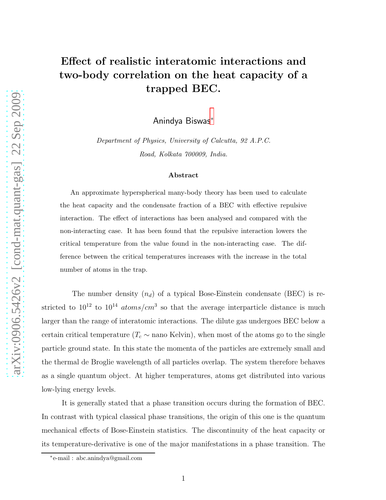## Effect of realistic interatomic interactions and two-body correlation on the heat capacity of a trapped BEC.

Anindya Biswas[∗](#page-0-0)

Department of Physics, University of Calcutta, 92 A.P.C. Road, Kolkata 700009, India.

## Abstract

An approximate hyperspherical many-body theory has been used to calculate the heat capacity and the condensate fraction of a BEC with effective repulsive interaction. The effect of interactions has been analysed and compared with the non-interacting case. It has been found that the repulsive interaction lowers the critical temperature from the value found in the non-interacting case. The difference between the critical temperatures increases with the increase in the total number of atoms in the trap.

The number density  $(n_d)$  of a typical Bose-Einstein condensate (BEC) is restricted to  $10^{12}$  to  $10^{14}$  atoms/cm<sup>3</sup> so that the average interparticle distance is much larger than the range of interatomic interactions. The dilute gas undergoes BEC below a certain critical temperature ( $T_c \sim$  nano Kelvin), when most of the atoms go to the single particle ground state. In this state the momenta of the particles are extremely small and the thermal de Broglie wavelength of all particles overlap. The system therefore behaves as a single quantum object. At higher temperatures, atoms get distributed into various low-lying energy levels.

It is generally stated that a phase transition occurs during the formation of BEC. In contrast with typical classical phase transitions, the origin of this one is the quantum mechanical effects of Bose-Einstein statistics. The discontinuity of the heat capacity or its temperature-derivative is one of the major manifestations in a phase transition. The

<span id="page-0-0"></span><sup>∗</sup> e-mail : abc.anindya@gmail.com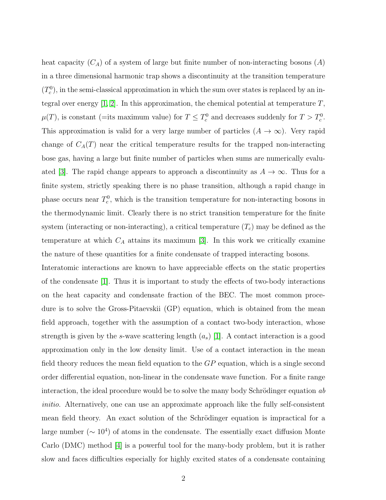heat capacity  $(C_A)$  of a system of large but finite number of non-interacting bosons  $(A)$ in a three dimensional harmonic trap shows a discontinuity at the transition temperature  $(T_c^0)$ , in the semi-classical approximation in which the sum over states is replaced by an integral over energy  $[1, 2]$  $[1, 2]$ . In this approximation, the chemical potential at temperature  $T$ ,  $\mu(T)$ , is constant (=its maximum value) for  $T \leq T_c^0$  and decreases suddenly for  $T > T_c^0$ . This approximation is valid for a very large number of particles  $(A \to \infty)$ . Very rapid change of  $C_A(T)$  near the critical temperature results for the trapped non-interacting bose gas, having a large but finite number of particles when sums are numerically evalu-ated [\[3\]](#page-13-2). The rapid change appears to approach a discontinuity as  $A \to \infty$ . Thus for a finite system, strictly speaking there is no phase transition, although a rapid change in phase occurs near  $T_c^0$ , which is the transition temperature for non-interacting bosons in the thermodynamic limit. Clearly there is no strict transition temperature for the finite system (interacting or non-interacting), a critical temperature  $(T_c)$  may be defined as the temperature at which  $C_A$  attains its maximum [\[3\]](#page-13-2). In this work we critically examine the nature of these quantities for a finite condensate of trapped interacting bosons.

Interatomic interactions are known to have appreciable effects on the static properties of the condensate [\[1\]](#page-13-0). Thus it is important to study the effects of two-body interactions on the heat capacity and condensate fraction of the BEC. The most common procedure is to solve the Gross-Pitaevskii (GP) equation, which is obtained from the mean field approach, together with the assumption of a contact two-body interaction, whose strength is given by the s-wave scattering length  $(a_s)$  [\[1\]](#page-13-0). A contact interaction is a good approximation only in the low density limit. Use of a contact interaction in the mean field theory reduces the mean field equation to the GP equation, which is a single second order differential equation, non-linear in the condensate wave function. For a finite range interaction, the ideal procedure would be to solve the many body Schrödinger equation  $ab$ initio. Alternatively, one can use an approximate approach like the fully self-consistent mean field theory. An exact solution of the Schrödinger equation is impractical for a large number ( $\sim 10^4$ ) of atoms in the condensate. The essentially exact diffusion Monte Carlo (DMC) method [\[4\]](#page-13-3) is a powerful tool for the many-body problem, but it is rather slow and faces difficulties especially for highly excited states of a condensate containing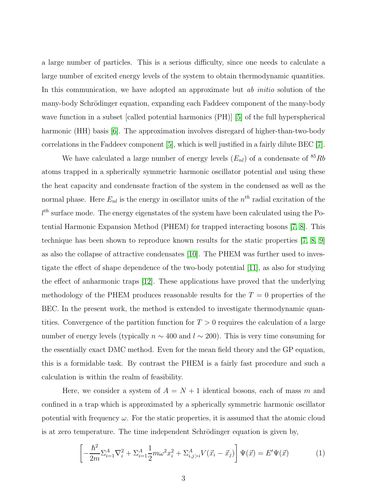a large number of particles. This is a serious difficulty, since one needs to calculate a large number of excited energy levels of the system to obtain thermodynamic quantities. In this communication, we have adopted an approximate but *ab initio* solution of the many-body Schrödinger equation, expanding each Faddeev component of the many-body wave function in a subset [called potential harmonics (PH)] [\[5\]](#page-13-4) of the full hyperspherical harmonic (HH) basis [\[6\]](#page-13-5). The approximation involves disregard of higher-than-two-body correlations in the Faddeev component [\[5\]](#page-13-4), which is well justified in a fairly dilute BEC [\[7\]](#page-13-6).

We have calculated a large number of energy levels  $(E_{nl})$  of a condensate of  ${}^{85}Rb$ atoms trapped in a spherically symmetric harmonic oscillator potential and using these the heat capacity and condensate fraction of the system in the condensed as well as the normal phase. Here  $E_{nl}$  is the energy in oscillator units of the  $n^{th}$  radial excitation of the  $l^{th}$  surface mode. The energy eigenstates of the system have been calculated using the Potential Harmonic Expansion Method (PHEM) for trapped interacting bosons [\[7,](#page-13-6) [8\]](#page-13-7). This technique has been shown to reproduce known results for the static properties [\[7,](#page-13-6) [8,](#page-13-7) [9\]](#page-13-8) as also the collapse of attractive condensates [\[10\]](#page-13-9). The PHEM was further used to investigate the effect of shape dependence of the two-body potential [\[11\]](#page-13-10), as also for studying the effect of anharmonic traps [\[12\]](#page-13-11). These applications have proved that the underlying methodology of the PHEM produces reasonable results for the  $T = 0$  properties of the BEC. In the present work, the method is extended to investigate thermodynamic quantities. Convergence of the partition function for  $T > 0$  requires the calculation of a large number of energy levels (typically  $n \sim 400$  and  $l \sim 200$ ). This is very time consuming for the essentially exact DMC method. Even for the mean field theory and the GP equation, this is a formidable task. By contrast the PHEM is a fairly fast procedure and such a calculation is within the realm of feasibility.

Here, we consider a system of  $A = N + 1$  identical bosons, each of mass m and confined in a trap which is approximated by a spherically symmetric harmonic oscillator potential with frequency  $\omega$ . For the static properties, it is assumed that the atomic cloud is at zero temperature. The time independent Schrödinger equation is given by,

$$
\left[ -\frac{\hbar^2}{2m} \Sigma_{i=1}^A \nabla_i^2 + \Sigma_{i=1}^A \frac{1}{2} m \omega^2 x_i^2 + \Sigma_{i,j>i}^A V(\vec{x}_i - \vec{x}_j) \right] \Psi(\vec{x}) = E' \Psi(\vec{x}) \tag{1}
$$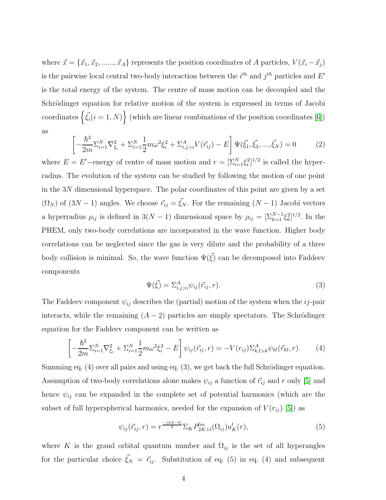where  $\vec{x} = \{\vec{x}_1, \vec{x}_2, \dots, \vec{x}_A\}$  represents the position coordinates of A particles,  $V(\vec{x}_i - \vec{x}_j)$ is the pairwise local central two-body interaction between the  $i^{th}$  and  $j^{th}$  particles and  $E'$ is the total energy of the system. The centre of mass motion can be decoupled and the Schrödinger equation for relative motion of the system is expressed in terms of Jacobi coordinates  $\left\{ \vec{\xi}_i(i = 1, N) \right\}$  (which are linear combinations of the position coordinates [\[6\]](#page-13-5)) as

$$
\left[ -\frac{\hbar^2}{2m} \Sigma_{i=1}^N \nabla_{\xi_i}^2 + \Sigma_{i=1}^N \frac{1}{2} m \omega^2 \xi_i^2 + \Sigma_{i,j>i}^A V(\vec{r}_{ij}) - E \right] \Psi(\vec{\xi}_1, \vec{\xi}_2, ..., \vec{\xi}_N) = 0 \tag{2}
$$

where  $E = E'$  –energy of centre of mass motion and  $r = \left[\sum_{i=1}^{N} \xi_i^2\right]^{1/2}$  is called the hyperradius. The evolution of the system can be studied by following the motion of one point in the 3N dimensional hyperspace. The polar coordinates of this point are given by a set  $(\Omega_N)$  of  $(3N-1)$  angles. We choose  $\vec{r}_{ij} = \vec{\xi}_N$ . For the remaining  $(N-1)$  Jacobi vectors a hyperradius  $\rho_{ij}$  is defined in 3(N – 1) dimensional space by  $\rho_{ij} = \left[\sum_{k=1}^{N-1} \xi_k^2\right]^{1/2}$ . In the PHEM, only two-body correlations are incorporated in the wave function. Higher body correlations can be neglected since the gas is very dilute and the probability of a three body collision is minimal. So, the wave function  $\Psi(\vec{\xi})$  can be decomposed into Faddeev components

$$
\Psi(\vec{\xi}) = \sum_{i,j>i}^{A} \psi_{ij}(\vec{r}_{ij},r). \tag{3}
$$

The Faddeev component  $\psi_{ij}$  describes the (partial) motion of the system when the *ij*-pair interacts, while the remaining  $(A - 2)$  particles are simply spectators. The Schrödinger equation for the Faddeev component can be written as

$$
\left[ -\frac{\hbar^2}{2m} \Sigma_{i=1}^N \nabla_{\xi_i}^2 + \Sigma_{i=1}^N \frac{1}{2} m \omega^2 \xi_i^2 - E \right] \psi_{ij}(\vec{r}_{ij}, r) = -V(r_{ij}) \Sigma_{k,l>k}^A \psi_{kl}(\vec{r}_{kl}, r). \tag{4}
$$

Summing eq.  $(4)$  over all pairs and using eq.  $(3)$ , we get back the full Schrödinger equation. Assumption of two-body correlations alone makes  $\psi_{ij}$  a function of  $\vec{r}_{ij}$  and r only [\[5\]](#page-13-4) and hence  $\psi_{ij}$  can be expanded in the complete set of potential harmonics (which are the subset of full hyperspherical harmonics, needed for the expansion of  $V(r_{ij})$  [\[5\]](#page-13-4)) as

$$
\psi_{ij}(\vec{r}_{ij},r) = r^{\frac{-(3A-4)}{2}} \Sigma_K P_{2K+l}^{lm}(\Omega_{ij}) u_K^l(r), \qquad (5)
$$

where K is the grand orbital quantum number and  $\Omega_{ij}$  is the set of all hyperangles for the particular choice  $\vec{\xi}_N = \vec{r}_{ij}$ . Substitution of eq. (5) in eq. (4) and subsequent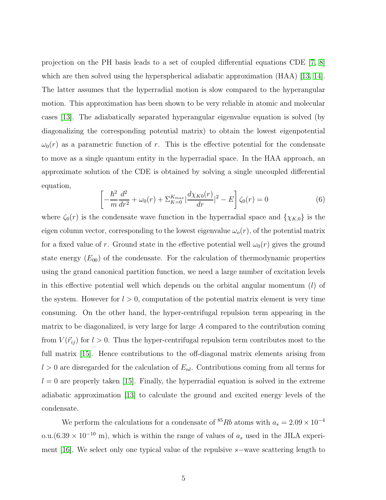projection on the PH basis leads to a set of coupled differential equations CDE  $[7, 8]$  $[7, 8]$ which are then solved using the hyperspherical adiabatic approximation (HAA) [\[13,](#page-13-12) [14\]](#page-13-13). The latter assumes that the hyperradial motion is slow compared to the hyperangular motion. This approximation has been shown to be very reliable in atomic and molecular cases [\[13\]](#page-13-12). The adiabatically separated hyperangular eigenvalue equation is solved (by diagonalizing the corresponding potential matrix) to obtain the lowest eigenpotential  $\omega_0(r)$  as a parametric function of r. This is the effective potential for the condensate to move as a single quantum entity in the hyperradial space. In the HAA approach, an approximate solution of the CDE is obtained by solving a single uncoupled differential equation,

$$
\left[ -\frac{\hbar^2}{m} \frac{d^2}{dr^2} + \omega_0(r) + \sum_{K=0}^{K_{max}} \left| \frac{d\chi_{K0}(r)}{dr} \right|^2 - E \right] \zeta_0(r) = 0 \tag{6}
$$

where  $\zeta_0(r)$  is the condensate wave function in the hyperradial space and  $\{\chi_{K,0}\}\$ is the eigen column vector, corresponding to the lowest eigenvalue  $\omega_o(r)$ , of the potential matrix for a fixed value of r. Ground state in the effective potential well  $\omega_0(r)$  gives the ground state energy  $(E_{00})$  of the condensate. For the calculation of thermodynamic properties using the grand canonical partition function, we need a large number of excitation levels in this effective potential well which depends on the orbital angular momentum  $(l)$  of the system. However for  $l > 0$ , computation of the potential matrix element is very time consuming. On the other hand, the hyper-centrifugal repulsion term appearing in the matrix to be diagonalized, is very large for large A compared to the contribution coming from  $V(\vec{r}_{ij})$  for  $l > 0$ . Thus the hyper-centrifugal repulsion term contributes most to the full matrix [\[15\]](#page-13-14). Hence contributions to the off-diagonal matrix elements arising from  $l > 0$  are disregarded for the calculation of  $E_{nl}$ . Contributions coming from all terms for  $l = 0$  are properly taken [\[15\]](#page-13-14). Finally, the hyperradial equation is solved in the extreme adiabatic approximation [\[13\]](#page-13-12) to calculate the ground and excited energy levels of the condensate.

We perform the calculations for a condensate of <sup>85</sup>Rb atoms with  $a_s = 2.09 \times 10^{-4}$ o.u.(6.39 × 10<sup>-10</sup> m), which is within the range of values of  $a_s$  used in the JILA experiment [\[16\]](#page-13-15). We select only one typical value of the repulsive s−wave scattering length to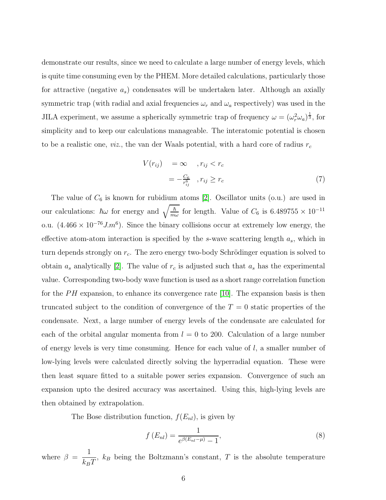demonstrate our results, since we need to calculate a large number of energy levels, which is quite time consuming even by the PHEM. More detailed calculations, particularly those for attractive (negative  $a_s$ ) condensates will be undertaken later. Although an axially symmetric trap (with radial and axial frequencies  $\omega_r$  and  $\omega_a$  respectively) was used in the JILA experiment, we assume a spherically symmetric trap of frequency  $\omega = (\omega_r^2 \omega_a)^{\frac{1}{3}}$ , for simplicity and to keep our calculations manageable. The interatomic potential is chosen to be a realistic one, *viz.*, the van der Waals potential, with a hard core of radius  $r_c$ 

$$
V(r_{ij}) = \infty, r_{ij} < r_c
$$
  

$$
= -\frac{C_6}{r_{ij}^6}, r_{ij} \ge r_c
$$
 (7)

The value of  $C_6$  is known for rubidium atoms [\[2\]](#page-13-1). Oscillator units (o.u.) are used in our calculations:  $\hbar \omega$  for energy and  $\sqrt{\frac{\hbar}{m}}$  $\frac{\hbar}{m\omega}$  for length. Value of  $C_6$  is 6.489755 × 10<sup>-11</sup> o.u.  $(4.466 \times 10^{-76} J.m^6)$ . Since the binary collisions occur at extremely low energy, the effective atom-atom interaction is specified by the  $s$ -wave scattering length  $a_s$ , which in turn depends strongly on  $r_c$ . The zero energy two-body Schrödinger equation is solved to obtain  $a_s$  analytically [\[2\]](#page-13-1). The value of  $r_c$  is adjusted such that  $a_s$  has the experimental value. Corresponding two-body wave function is used as a short range correlation function for the  $PH$  expansion, to enhance its convergence rate [\[10\]](#page-13-9). The expansion basis is then truncated subject to the condition of convergence of the  $T = 0$  static properties of the condensate. Next, a large number of energy levels of the condensate are calculated for each of the orbital angular momenta from  $l = 0$  to 200. Calculation of a large number of energy levels is very time consuming. Hence for each value of  $l$ , a smaller number of low-lying levels were calculated directly solving the hyperradial equation. These were then least square fitted to a suitable power series expansion. Convergence of such an expansion upto the desired accuracy was ascertained. Using this, high-lying levels are then obtained by extrapolation.

The Bose distribution function,  $f(E_{nl})$ , is given by

$$
f(E_{nl}) = \frac{1}{e^{\beta(E_{nl} - \mu)} - 1},
$$
\n(8)

where  $\beta =$ 1  $k_BT$ ,  $k_B$  being the Boltzmann's constant, T is the absolute temperature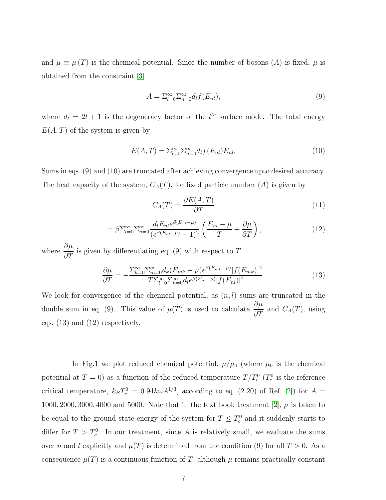and  $\mu \equiv \mu(T)$  is the chemical potential. Since the number of bosons (A) is fixed,  $\mu$  is obtained from the constraint [\[3\]](#page-13-2)

$$
A = \sum_{l=0}^{\infty} \sum_{n=0}^{\infty} d_l f(E_{nl}), \qquad (9)
$$

where  $d_l = 2l + 1$  is the degeneracy factor of the  $l^{th}$  surface mode. The total energy  $E(A, T)$  of the system is given by

$$
E(A,T) = \sum_{l=0}^{\infty} \sum_{n=0}^{\infty} d_l f(E_{nl}) E_{nl}.
$$
\n(10)

Sums in eqs. (9) and (10) are truncated after achieving convergence upto desired accuracy. The heat capacity of the system,  $C_A(T)$ , for fixed particle number (A) is given by

$$
C_A(T) = \frac{\partial E(A, T)}{\partial T} \tag{11}
$$

$$
= \beta \sum_{l=0}^{\infty} \sum_{n=0}^{\infty} \frac{d_l E_{nl} e^{\beta (E_{nl} - \mu)}}{(e^{\beta (E_{nl} - \mu)} - 1)^2} \left( \frac{E_{nl} - \mu}{T} + \frac{\partial \mu}{\partial T} \right), \tag{12}
$$

where  $\frac{\partial \mu}{\partial \mathcal{F}}$  $\frac{\partial P}{\partial T}$  is given by differentiating eq. (9) with respect to T

$$
\frac{\partial \mu}{\partial T} = -\frac{\sum_{k=0}^{\infty} \sum_{m=0}^{\infty} d_k (E_{mk} - \mu) e^{\beta (E_{mk} - \mu)} [f(E_{mk})]^2}{T \sum_{l=0}^{\infty} \sum_{m=0}^{\infty} d_l e^{\beta (E_{nl} - \mu)} [f(E_{nl})]^2}.
$$
(13)

We look for convergence of the chemical potential, as  $(n, l)$  sums are truncated in the double sum in eq. (9). This value of  $\mu(T)$  is used to calculate  $\frac{\partial \mu}{\partial T}$  $\frac{\partial P}{\partial T}$  and  $C_A(T)$ , using eqs. (13) and (12) respectively.

In Fig.1 we plot reduced chemical potential,  $\mu/\mu_0$  (where  $\mu_0$  is the chemical potential at  $T = 0$ ) as a function of the reduced temperature  $T/T_c^0$  ( $T_c^0$ ) is the reference critical temperature,  $k_B T_c^0 = 0.94\hbar\omega A^{1/3}$ , according to eq. (2.20) of Ref. [\[2\]](#page-13-1)) for  $A =$ 1000, 2000, 3000, 4000 and 5000. Note that in the text book treatment [\[2\]](#page-13-1),  $\mu$  is taken to be equal to the ground state energy of the system for  $T \leq T_c^0$  and it suddenly starts to differ for  $T > T_c^0$ . In our treatment, since A is relatively small, we evaluate the sums over n and l explicitly and  $\mu(T)$  is determined from the condition (9) for all  $T > 0$ . As a consequence  $\mu(T)$  is a continuous function of T, although  $\mu$  remains practically constant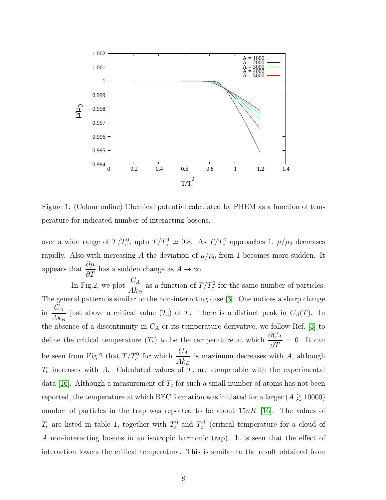

Figure 1: (Colour online) Chemical potential calculated by PHEM as a function of temperature for indicated number of interacting bosons.

over a wide range of  $T/T_c^0$ , upto  $T/T_c^0 \simeq 0.8$ . As  $T/T_c^0$  approaches 1,  $\mu/\mu_0$  decreases rapidly. Also with increasing A the deviation of  $\mu/\mu_0$  from 1 becomes more sudden. It appears that  $\frac{\partial \mu}{\partial \sigma}$  $\frac{\partial P}{\partial T}$  has a sudden change as  $A \to \infty$ .

In Fig.2, we plot  $\frac{C_A}{\Lambda}$  $Ak_B$ as a function of  $T/T_c^0$  for the same number of particles. The general pattern is similar to the non-interacting case [\[3\]](#page-13-2). One notices a sharp change in  $\frac{C_A}{U}$  $Ak_B$ just above a critical value  $(T_c)$  of T. There is a distinct peak in  $C_A(T)$ . In the absence of a discontinuity in  $C_A$  or its temperature derivative, we follow Ref. [\[3\]](#page-13-2) to define the critical temperature  $(T_c)$  to be the temperature at which  $\frac{\partial C_A}{\partial T} = 0$ . It can be seen from Fig.2 that  $T/T_c^0$  for which  $\frac{C_A}{4L_c}$  $Ak_B$ is maximum decreases with A, although  $T_c$  increases with A. Calculated values of  $T_c$  are comparable with the experimental data [\[16\]](#page-13-15). Although a measurement of  $T_c$  for such a small number of atoms has not been reported, the temperature at which BEC formation was initiated for a larger  $(A \gtrsim 10000)$ number of particles in the trap was reported to be about  $15nK$  [\[16\]](#page-13-15). The values of  $T_c$  are listed in table 1, together with  $T_c^0$  and  $T_c^A$  (critical temperature for a cloud of A non-interacting bosons in an isotropic harmonic trap). It is seen that the effect of interaction lowers the critical temperature. This is similar to the result obtained from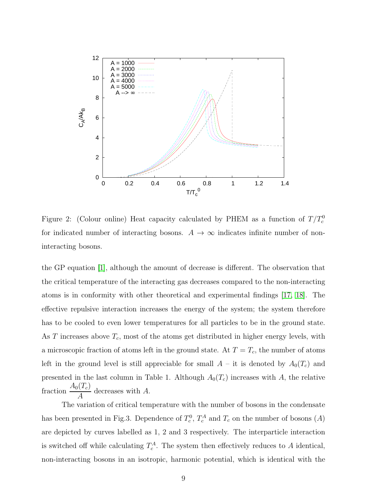

Figure 2: (Colour online) Heat capacity calculated by PHEM as a function of  $T/T_c^0$ for indicated number of interacting bosons.  $A \rightarrow \infty$  indicates infinite number of noninteracting bosons.

the GP equation [\[1\]](#page-13-0), although the amount of decrease is different. The observation that the critical temperature of the interacting gas decreases compared to the non-interacting atoms is in conformity with other theoretical and experimental findings [\[17,](#page-14-0) [18\]](#page-14-1). The effective repulsive interaction increases the energy of the system; the system therefore has to be cooled to even lower temperatures for all particles to be in the ground state. As  $T$  increases above  $T_c$ , most of the atoms get distributed in higher energy levels, with a microscopic fraction of atoms left in the ground state. At  $T = T_c$ , the number of atoms left in the ground level is still appreciable for small  $A - i$ t is denoted by  $A_0(T_c)$  and presented in the last column in Table 1. Although  $A_0(T_c)$  increases with A, the relative fraction  $\frac{A_0(T_c)}{4}$ A decreases with A.

The variation of critical temperature with the number of bosons in the condensate has been presented in Fig.3. Dependence of  $T_c^0$ ,  $T_c^A$  and  $T_c$  on the number of bosons  $(A)$ are depicted by curves labelled as 1, 2 and 3 respectively. The interparticle interaction is switched off while calculating  $T_c^A$ . The system then effectively reduces to A identical, non-interacting bosons in an isotropic, harmonic potential, which is identical with the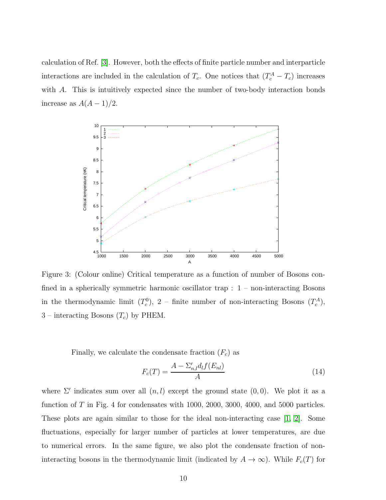calculation of Ref. [\[3\]](#page-13-2). However, both the effects of finite particle number and interparticle interactions are included in the calculation of  $T_c$ . One notices that  $(T_c^A - T_c)$  increases with A. This is intuitively expected since the number of two-body interaction bonds increase as  $A(A-1)/2$ .



Figure 3: (Colour online) Critical temperature as a function of number of Bosons confined in a spherically symmetric harmonic oscillator trap  $: 1$  – non-interacting Bosons in the thermodynamic limit  $(T_c^0)$ , 2 – finite number of non-interacting Bosons  $(T_c^A)$ ,  $3$  – interacting Bosons  $(T_c)$  by PHEM.

Finally, we calculate the condensate fraction  $(F_c)$  as

$$
F_c(T) = \frac{A - \sum_{n,l} d_l f(E_{nl})}{A} \tag{14}
$$

where  $\Sigma'$  indicates sum over all  $(n, l)$  except the ground state  $(0, 0)$ . We plot it as a function of T in Fig. 4 for condensates with 1000, 2000, 3000, 4000, and 5000 particles. These plots are again similar to those for the ideal non-interacting case [\[1,](#page-13-0) [2\]](#page-13-1). Some fluctuations, especially for larger number of particles at lower temperatures, are due to numerical errors. In the same figure, we also plot the condensate fraction of noninteracting bosons in the thermodynamic limit (indicated by  $A \to \infty$ ). While  $F_c(T)$  for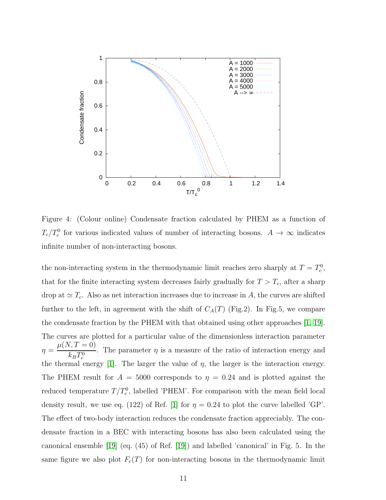

Figure 4: (Colour online) Condensate fraction calculated by PHEM as a function of  $T_c/T_c^0$  for various indicated values of number of interacting bosons.  $A \to \infty$  indicates infinite number of non-interacting bosons.

the non-interacting system in the thermodynamic limit reaches zero sharply at  $T = T_c^0$ , that for the finite interacting system decreases fairly gradually for  $T > T_c$ , after a sharp drop at  $\simeq T_c$ . Also as net interaction increases due to increase in A, the curves are shifted further to the left, in agreement with the shift of  $C_A(T)$  (Fig.2). In Fig.5, we compare the condensate fraction by the PHEM with that obtained using other approaches [\[1,](#page-13-0) [19\]](#page-14-2). The curves are plotted for a particular value of the dimensionless interaction parameter  $\eta =$  $\mu(N, T = 0)$  $k_BT_c^0$ . The parameter  $\eta$  is a measure of the ratio of interaction energy and the thermal energy [\[1\]](#page-13-0). The larger the value of  $\eta$ , the larger is the interaction energy. The PHEM result for  $A = 5000$  corresponds to  $\eta = 0.24$  and is plotted against the reduced temperature  $T/T_c^0$ , labelled 'PHEM'. For comparison with the mean field local density result, we use eq. (122) of Ref. [\[1\]](#page-13-0) for  $\eta = 0.24$  to plot the curve labelled 'GP'. The effect of two-body interaction reduces the condensate fraction appreciably. The condensate fraction in a BEC with interacting bosons has also been calculated using the canonical ensemble [\[19\]](#page-14-2) (eq. (45) of Ref. [\[19\]](#page-14-2)) and labelled 'canonical' in Fig. 5. In the same figure we also plot  $F_c(T)$  for non-interacting bosons in the thermodynamic limit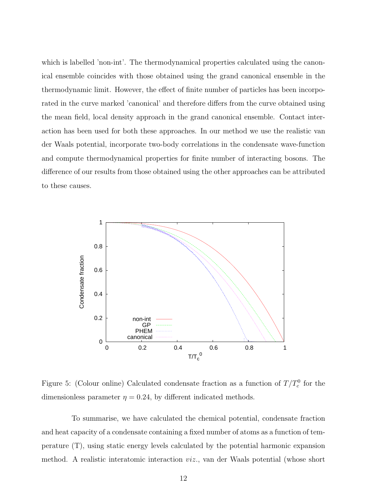which is labelled 'non-int'. The thermodynamical properties calculated using the canonical ensemble coincides with those obtained using the grand canonical ensemble in the thermodynamic limit. However, the effect of finite number of particles has been incorporated in the curve marked 'canonical' and therefore differs from the curve obtained using the mean field, local density approach in the grand canonical ensemble. Contact interaction has been used for both these approaches. In our method we use the realistic van der Waals potential, incorporate two-body correlations in the condensate wave-function and compute thermodynamical properties for finite number of interacting bosons. The difference of our results from those obtained using the other approaches can be attributed to these causes.

![](_page_11_Figure_1.jpeg)

Figure 5: (Colour online) Calculated condensate fraction as a function of  $T/T_c^0$  for the dimensionless parameter  $\eta = 0.24$ , by different indicated methods.

To summarise, we have calculated the chemical potential, condensate fraction and heat capacity of a condensate containing a fixed number of atoms as a function of temperature (T), using static energy levels calculated by the potential harmonic expansion method. A realistic interatomic interaction viz., van der Waals potential (whose short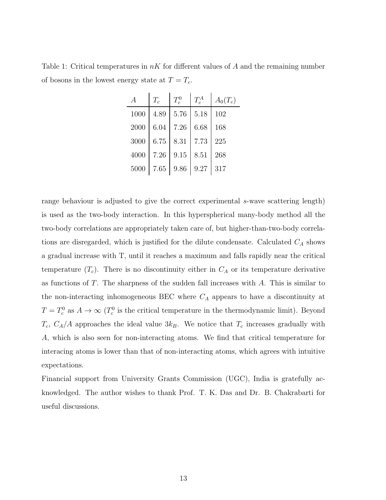Table 1: Critical temperatures in  $nK$  for different values of A and the remaining number of bosons in the lowest energy state at  $T = T_c$ .

| $\boldsymbol{A}$ | $T_c$ | $T_c^0$ | $T_c^A$ | $A_0(T_c)$ |
|------------------|-------|---------|---------|------------|
| 1000             | 4.89  | 5.76    | 5.18    | 102        |
| 2000             | 6.04  | 7.26    | 6.68    | 168        |
| 3000             | 6.75  | 8.31    | 7.73    | 225        |
| 4000             | 7.26  | 9.15    | 8.51    | 268        |
| 5000             | 7.65  | 9.86    | 9.27    | 317        |

range behaviour is adjusted to give the correct experimental s-wave scattering length) is used as the two-body interaction. In this hyperspherical many-body method all the two-body correlations are appropriately taken care of, but higher-than-two-body correlations are disregarded, which is justified for the dilute condensate. Calculated  $C_A$  shows a gradual increase with T, until it reaches a maximum and falls rapidly near the critical temperature  $(T_c)$ . There is no discontinuity either in  $C_A$  or its temperature derivative as functions of  $T$ . The sharpness of the sudden fall increases with  $A$ . This is similar to the non-interacting inhomogeneous BEC where  $C_A$  appears to have a discontinuity at  $T = T_c^0$  as  $A \to \infty$  ( $T_c^0$  is the critical temperature in the thermodynamic limit). Beyond  $T_c$ ,  $C_A/A$  approaches the ideal value  $3k_B$ . We notice that  $T_c$  increases gradually with A, which is also seen for non-interacting atoms. We find that critical temperature for interacing atoms is lower than that of non-interacting atoms, which agrees with intuitive expectations.

Financial support from University Grants Commission (UGC), India is gratefully acknowledged. The author wishes to thank Prof. T. K. Das and Dr. B. Chakrabarti for useful discussions.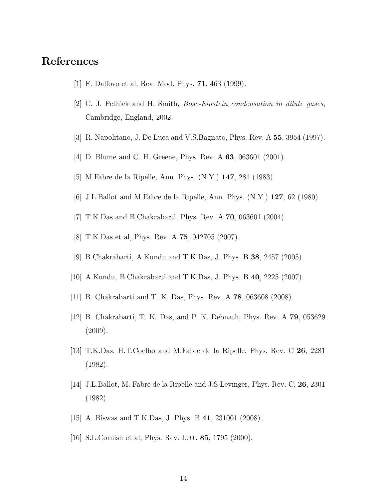## <span id="page-13-1"></span><span id="page-13-0"></span>References

- [1] F. Dalfovo et al, Rev. Mod. Phys. 71, 463 (1999).
- <span id="page-13-2"></span>[2] C. J. Pethick and H. Smith, Bose-Einstein condensation in dilute gases, Cambridge, England, 2002.
- <span id="page-13-3"></span>[3] R. Napolitano, J. De Luca and V.S.Bagnato, Phys. Rev. A 55, 3954 (1997).
- <span id="page-13-4"></span>[4] D. Blume and C. H. Greene, Phys. Rev. A **63**, 063601 (2001).
- <span id="page-13-5"></span>[5] M.Fabre de la Ripelle, Ann. Phys. (N.Y.) 147, 281 (1983).
- <span id="page-13-6"></span>[6] J.L.Ballot and M.Fabre de la Ripelle, Ann. Phys. (N.Y.) 127, 62 (1980).
- <span id="page-13-7"></span>[7] T.K.Das and B.Chakrabarti, Phys. Rev. A 70, 063601 (2004).
- <span id="page-13-8"></span>[8] T.K.Das et al, Phys. Rev. A 75, 042705 (2007).
- <span id="page-13-9"></span>[9] B.Chakrabarti, A.Kundu and T.K.Das, J. Phys. B 38, 2457 (2005).
- <span id="page-13-10"></span>[10] A.Kundu, B.Chakrabarti and T.K.Das, J. Phys. B 40, 2225 (2007).
- <span id="page-13-11"></span>[11] B. Chakrabarti and T. K. Das, Phys. Rev. A 78, 063608 (2008).
- <span id="page-13-12"></span>[12] B. Chakrabarti, T. K. Das, and P. K. Debnath, Phys. Rev. A 79, 053629 (2009).
- <span id="page-13-13"></span>[13] T.K.Das, H.T.Coelho and M.Fabre de la Ripelle, Phys. Rev. C 26, 2281 (1982).
- <span id="page-13-14"></span>[14] J.L.Ballot, M. Fabre de la Ripelle and J.S.Levinger, Phys. Rev. C, 26, 2301 (1982).
- <span id="page-13-15"></span>[15] A. Biswas and T.K.Das, J. Phys. B 41, 231001 (2008).
- [16] S.L.Cornish et al, Phys. Rev. Lett. 85, 1795 (2000).